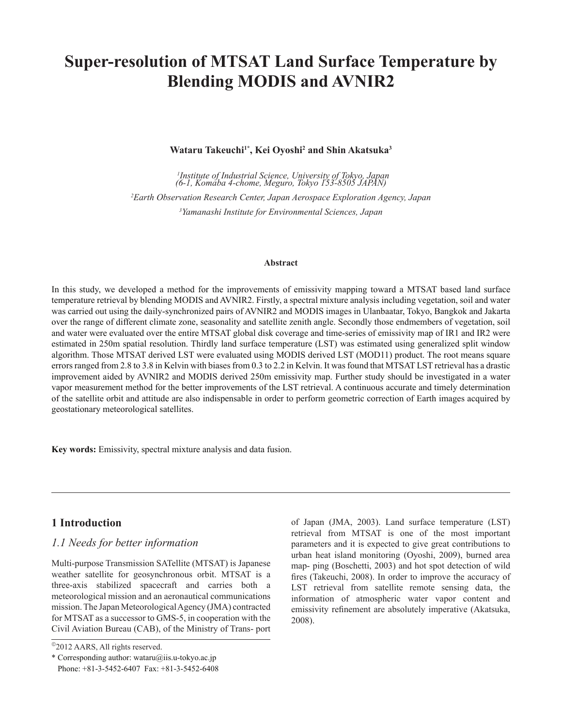# **Super-resolution of MTSAT Land Surface Temperature by Blending MODIS and AVNIR2**

**Wataru Takeuchi1\*, Kei Oyoshi2 and Shin Akatsuka3**

 *Institute of Industrial Science, University of Tokyo, Japan (6-1, Komaba 4-chome, Meguro, Tokyo 153-8505 JAPAN) Earth Observation Research Center, Japan Aerospace Exploration Agency, Japan Yamanashi Institute for Environmental Sciences, Japan*

#### **Abstract**

In this study, we developed a method for the improvements of emissivity mapping toward a MTSAT based land surface temperature retrieval by blending MODIS and AVNIR2. Firstly, a spectral mixture analysis including vegetation, soil and water was carried out using the daily-synchronized pairs of AVNIR2 and MODIS images in Ulanbaatar, Tokyo, Bangkok and Jakarta over the range of different climate zone, seasonality and satellite zenith angle. Secondly those endmembers of vegetation, soil and water were evaluated over the entire MTSAT global disk coverage and time-series of emissivity map of IR1 and IR2 were estimated in 250m spatial resolution. Thirdly land surface temperature (LST) was estimated using generalized split window algorithm. Those MTSAT derived LST were evaluated using MODIS derived LST (MOD11) product. The root means square errors ranged from 2.8 to 3.8 in Kelvin with biases from 0.3 to 2.2 in Kelvin. It was found that MTSAT LST retrieval has a drastic improvement aided by AVNIR2 and MODIS derived 250m emissivity map. Further study should be investigated in a water vapor measurement method for the better improvements of the LST retrieval. A continuous accurate and timely determination of the satellite orbit and attitude are also indispensable in order to perform geometric correction of Earth images acquired by geostationary meteorological satellites.

**Key words:** Emissivity, spectral mixture analysis and data fusion.

#### **1 Introduction**

#### *1.1 Needs for better information*

Multi-purpose Transmission SATellite (MTSAT) is Japanese weather satellite for geosynchronous orbit. MTSAT is a three-axis stabilized spacecraft and carries both a meteorological mission and an aeronautical communications mission. The Japan Meteorological Agency (JMA) contracted for MTSAT as a successor to GMS-5, in cooperation with the Civil Aviation Bureau (CAB), of the Ministry of Trans- port of Japan (JMA, 2003). Land surface temperature (LST) retrieval from MTSAT is one of the most important parameters and it is expected to give great contributions to urban heat island monitoring (Oyoshi, 2009), burned area map- ping (Boschetti, 2003) and hot spot detection of wild fires (Takeuchi, 2008). In order to improve the accuracy of LST retrieval from satellite remote sensing data, the information of atmospheric water vapor content and emissivity refinement are absolutely imperative (Akatsuka, 2008).

<sup>&</sup>lt;sup>©</sup>2012 AARS, All rights reserved.

<sup>\*</sup> Corresponding author: wataru@iis.u-tokyo.ac.jp Phone: +81-3-5452-6407 Fax: +81-3-5452-6408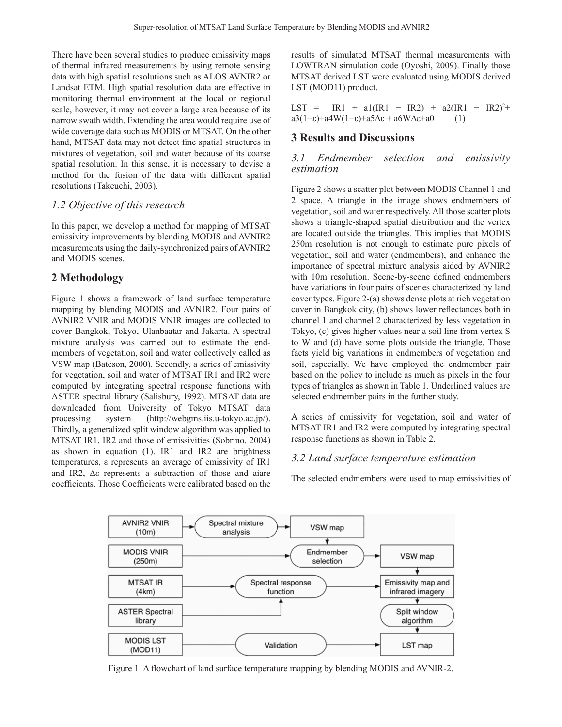There have been several studies to produce emissivity maps of thermal infrared measurements by using remote sensing data with high spatial resolutions such as ALOS AVNIR2 or Landsat ETM. High spatial resolution data are effective in monitoring thermal environment at the local or regional scale, however, it may not cover a large area because of its narrow swath width. Extending the area would require use of wide coverage data such as MODIS or MTSAT. On the other hand, MTSAT data may not detect fine spatial structures in mixtures of vegetation, soil and water because of its coarse spatial resolution. In this sense, it is necessary to devise a method for the fusion of the data with different spatial resolutions (Takeuchi, 2003).

### *1.2 Objective of this research*

In this paper, we develop a method for mapping of MTSAT emissivity improvements by blending MODIS and AVNIR2 measurements using the daily-synchronized pairs of AVNIR2 and MODIS scenes.

## **2 Methodology**

Figure 1 shows a framework of land surface temperature mapping by blending MODIS and AVNIR2. Four pairs of AVNIR2 VNIR and MODIS VNIR images are collected to cover Bangkok, Tokyo, Ulanbaatar and Jakarta. A spectral mixture analysis was carried out to estimate the endmembers of vegetation, soil and water collectively called as VSW map (Bateson, 2000). Secondly, a series of emissivity for vegetation, soil and water of MTSAT IR1 and IR2 were computed by integrating spectral response functions with ASTER spectral library (Salisbury, 1992). MTSAT data are downloaded from University of Tokyo MTSAT data processing system (http://webgms.iis.u-tokyo.ac.jp/). Thirdly, a generalized split window algorithm was applied to MTSAT IR1, IR2 and those of emissivities (Sobrino, 2004) as shown in equation (1). IR1 and IR2 are brightness temperatures, ε represents an average of emissivity of IR1 and IR2, ∆ε represents a subtraction of those and aiare coefficients. Those Coefficients were calibrated based on the results of simulated MTSAT thermal measurements with LOWTRAN simulation code (Oyoshi, 2009). Finally those MTSAT derived LST were evaluated using MODIS derived LST (MOD11) product.

LST = IR1 + a1(IR1 – IR2) + a2(IR1 – IR2)<sup>2</sup>+ a3(1−ε)+a4W(1−ε)+a5 $\Delta$ ε + a6W $\Delta$ ε+a0 (1)

#### **3 Results and Discussions**

#### *3.1 Endmember selection and emissivity estimation*

Figure 2 shows a scatter plot between MODIS Channel 1 and 2 space. A triangle in the image shows endmembers of vegetation, soil and water respectively. All those scatter plots shows a triangle-shaped spatial distribution and the vertex are located outside the triangles. This implies that MODIS 250m resolution is not enough to estimate pure pixels of vegetation, soil and water (endmembers), and enhance the importance of spectral mixture analysis aided by AVNIR2 with 10m resolution. Scene-by-scene defined endmembers have variations in four pairs of scenes characterized by land cover types. Figure 2-(a) shows dense plots at rich vegetation cover in Bangkok city, (b) shows lower reflectances both in channel 1 and channel 2 characterized by less vegetation in Tokyo, (c) gives higher values near a soil line from vertex S to W and (d) have some plots outside the triangle. Those facts yield big variations in endmembers of vegetation and soil, especially. We have employed the endmember pair based on the policy to include as much as pixels in the four types of triangles as shown in Table 1. Underlined values are selected endmember pairs in the further study.

A series of emissivity for vegetation, soil and water of MTSAT IR1 and IR2 were computed by integrating spectral response functions as shown in Table 2.

#### *3.2 Land surface temperature estimation*

The selected endmembers were used to map emissivities of



Figure 1. A flowchart of land surface temperature mapping by blending MODIS and AVNIR-2.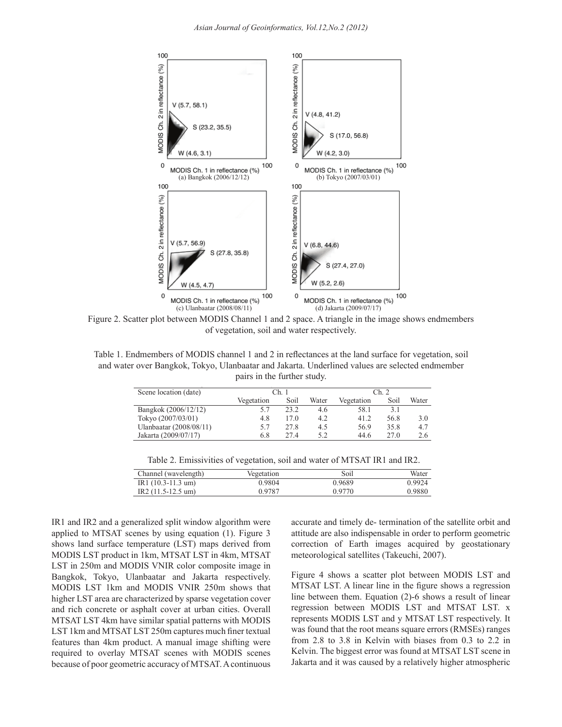

Figure 2. Scatter plot between MODIS Channel 1 and 2 space. A triangle in the image shows endmembers of vegetation, soil and water respectively.

Table 1. Endmembers of MODIS channel 1 and 2 in reflectances at the land surface for vegetation, soil and water over Bangkok, Tokyo, Ulanbaatar and Jakarta. Underlined values are selected endmember pairs in the further study.

| Scene location (date)   | Ch.1       |      |       | Ch. 2      |      |       |
|-------------------------|------------|------|-------|------------|------|-------|
|                         | Vegetation | Soil | Water | Vegetation | Soil | Water |
| Bangkok (2006/12/12)    | 5.7        | 23.2 | 4.6   | 58.1       | 3.1  |       |
| Tokyo $(2007/03/01)$    | 4.8        | 17.0 | 4.2   | 41.2       | 56.8 | 3.0   |
| Ulanbaatar (2008/08/11) | 5.7        | 27.8 | 4.5   | 56.9       | 35.8 | 4.7   |
| Jakarta (2009/07/17)    | 6.8        | 274  | 5.2   | 44.6       | 27.0 | 2.6   |
|                         |            |      |       |            |      |       |

Table 2: Emissivities of vegetation, soil and water of MTSAT IR1 and IR2 Table 2. Emissivities of vegetation, soil and water of MTSAT IR1 and IR2.

| Channel (wavelength)        | Vegetation | Soil   | Water  |
|-----------------------------|------------|--------|--------|
| $IR1(10.3-11.3 \text{ um})$ | 0.9804     | 0.9689 | 0.9924 |
| $IR2(11.5-12.5 \text{ um})$ | 0.9787     | 0.9770 | 0.9880 |
|                             |            |        |        |

IR1 and IR2 and a generalized split window algorithm were applied to MTSAT scenes by using equation (1). Figure 3 shows land surface temperature (LST) maps derived from MODIS LST product in 1km, MTSAT LST in 4km, MTSAT LST in 250m and MODIS VNIR color composite image in Bangkok, Tokyo, Ulanbaatar and Jakarta respectively. MODIS LST 1km and MODIS VNIR 250m shows that higher LST area are characterized by sparse vegetation cover and rich concrete or asphalt cover at urban cities. Overall MTSAT LST 4km have similar spatial patterns with MODIS LST 1km and MTSAT LST 250m captures much finer textual features than 4km product. A manual image shifting were required to overlay MTSAT scenes with MODIS scenes because of poor geometric accuracy of MTSAT. A continuous accurate and timely de- termination of the satellite orbit and attitude are also indispensable in order to perform geometric correction of Earth images acquired by geostationary meteorological satellites (Takeuchi, 2007).

Figure 4 shows a scatter plot between MODIS LST and MTSAT LST. A linear line in the figure shows a regression line between them. Equation (2)-6 shows a result of linear regression between MODIS LST and MTSAT LST. x represents MODIS LST and y MTSAT LST respectively. It was found that the root means square errors (RMSEs) ranges from 2.8 to 3.8 in Kelvin with biases from 0.3 to 2.2 in Kelvin. The biggest error was found at MTSAT LST scene in Jakarta and it was caused by a relatively higher atmospheric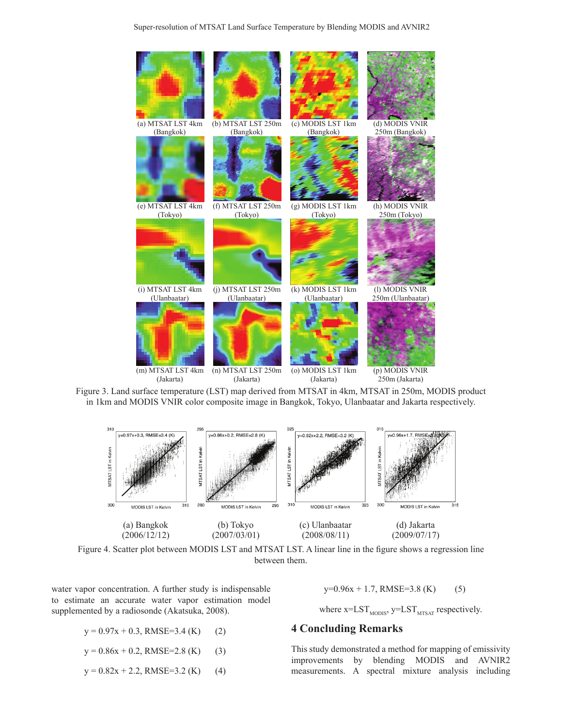

Figure 3: Land surface temperature (LST) map derived from MTSAT in 4km, MTSAT in 250m, Figure 3. Land surface temperature (LST) map derived from MTSAT in 4km, MTSAT in 250m, MODIS product MODIS product in 1km and MODIS VNIR color composite image in Bangkok, Tokyo, Ulanbaatar in 1km and MODIS VNIR color composite image in Bangkok, Tokyo, Ulanbaatar and Jakarta respectively.



Figure 4. Scatter plot between MODIS LST and MTSAT LST. A linear line in the figure shows a regression line between them.

water vapor concentration. A further study is indispensable to estimate an accurate water vapor estimation model supplemented by a radiosonde (Akatsuka, 2008).

- $y = 0.97x + 0.3$ , RMSE=3.4 (K) (2)
- $y = 0.86x + 0.2$ , RMSE=2.8 (K) (3)
- $y = 0.82x + 2.2$ , RMSE=3.2 (K) (4)

 $y=0.96x + 1.7$ , RMSE=3.8 (K) (5)

where  $x=LST_{MODIS}$ ,  $y=LST_{MTSAT}$  respectively.

# **4 Concluding Remarks**

This study demonstrated a method for mapping of emissivity improvements by blending MODIS and AVNIR2 measurements. A spectral mixture analysis including